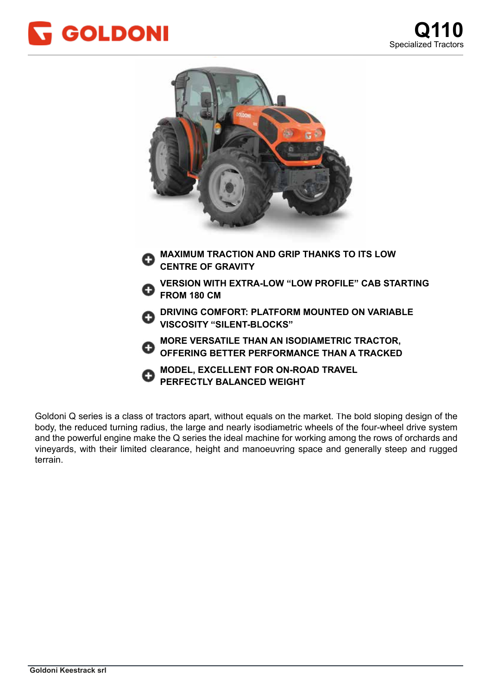



Goldoni Q series is a class of tractors apart, without equals on the market. The bold sloping design of the body, the reduced turning radius, the large and nearly isodiametric wheels of the four-wheel drive system and the powerful engine make the Q series the ideal machine for working among the rows of orchards and vineyards, with their limited clearance, height and manoeuvring space and generally steep and rugged struttura portante, caratterizzata da una distribuzione del peso al 50% sull'assale anteriore ed al 50% sull'assa terrain.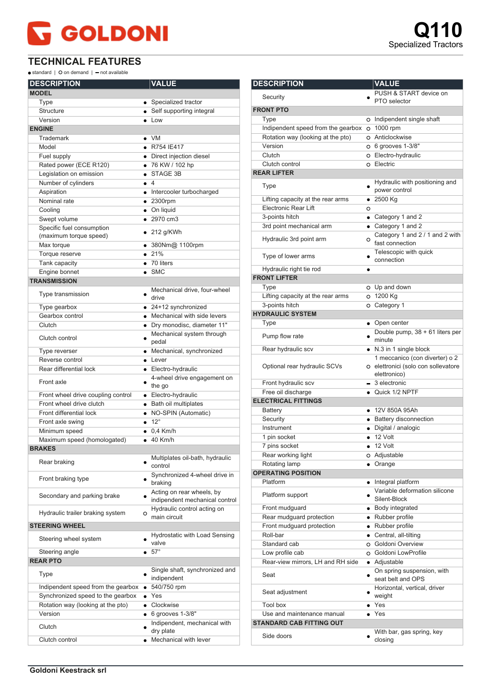## **GOLDONI**

 $\bullet$  standard |  $\bullet$  on demand |  $\bullet$  not available

| <b>DESCRIPTION</b>                                  | <b>VALUE</b>        |                                                             |
|-----------------------------------------------------|---------------------|-------------------------------------------------------------|
| <b>MODEL</b>                                        |                     |                                                             |
| Type                                                |                     | • Specialized tractor                                       |
| Structure                                           |                     | • Self supporting integral                                  |
| Version                                             | $\bullet$ Low       |                                                             |
| <b>ENGINE</b>                                       |                     |                                                             |
| Trademark                                           | $\bullet$ VM        |                                                             |
| Model                                               | • R754 IE417        |                                                             |
| Fuel supply                                         |                     | • Direct injection diesel                                   |
| Rated power (ECE R120)                              |                     | • 76 KW / 102 hp                                            |
| Legislation on emission                             | STAGE 3B            |                                                             |
| Number of cylinders                                 | $\bullet$ 4         |                                                             |
| Aspiration                                          |                     | • Intercooler turbocharged                                  |
| Nominal rate                                        | $• 2300$ rpm        |                                                             |
| Cooling                                             | • On liquid         |                                                             |
| Swept volume                                        | $\bullet$ 2970 cm3  |                                                             |
| Specific fuel consumption<br>(maximum torque speed) | $\bullet$ 212 g/KWh |                                                             |
| Max torque                                          |                     | ● 380Nm@ 1100rpm                                            |
| Torque reserve                                      | • 21%               |                                                             |
| Tank capacity                                       | $\bullet$ 70 liters |                                                             |
| Engine bonnet                                       | $\bullet$ SMC       |                                                             |
| <b>TRANSMISSION</b>                                 |                     |                                                             |
| Type transmission                                   | ٠<br>drive          | Mechanical drive, four-wheel                                |
| Type gearbox                                        |                     | • 24+12 synchronized                                        |
| Gearbox control                                     |                     | • Mechanical with side levers                               |
| Clutch                                              |                     | · Dry monodisc, diameter 11"                                |
| Clutch control                                      | pedal               | Mechanical system through                                   |
| Type reverser                                       |                     | • Mechanical, synchronized                                  |
| Reverse control                                     | $\bullet$ Lever     |                                                             |
| Rear differential lock                              |                     | • Electro-hydraulic                                         |
| Front axle                                          | the go              | 4-wheel drive engagement on                                 |
| Front wheel drive coupling control                  |                     | • Electro-hydraulic                                         |
| Front wheel drive clutch                            |                     | · Bath oil multiplates                                      |
| Front differential lock                             |                     | • NO-SPIN (Automatic)                                       |
| Front axle swing                                    | $\bullet$ 12°       |                                                             |
| Minimum speed                                       | $\bullet$ 0.4 Km/h  |                                                             |
| Maximum speed (homologated)                         | $\bullet$ 40 Km/h   |                                                             |
| <b>BRAKES</b>                                       |                     |                                                             |
| Rear braking                                        | control             | Multiplates oil-bath, hydraulic                             |
| Front braking type                                  | braking             | Synchronized 4-wheel drive in                               |
| Secondary and parking brake                         |                     | Acting on rear wheels, by<br>indipendent mechanical control |
| Hydraulic trailer braking system                    | $\circ$             | Hydraulic control acting on<br>main circuit                 |
| <b>STEERING WHEEL</b>                               |                     |                                                             |
| Steering wheel system                               | valve               | Hydrostatic with Load Sensing                               |
| Steering angle                                      | $\bullet$ 57°       |                                                             |
| <b>REAR PTO</b>                                     |                     |                                                             |
| Type                                                |                     | Single shaft, synchronized and<br>indipendent               |
| Indipendent speed from the gearbox                  |                     | 540/750 rpm                                                 |
| Synchronized speed to the gearbox                   | $\bullet$ Yes       |                                                             |
| Rotation way (looking at the pto)                   | • Clockwise         |                                                             |
| Version                                             |                     | $\bullet$ 6 grooves 1-3/8"                                  |
| Clutch                                              | dry plate           | Indipendent, mechanical with                                |
| Clutch control                                      | $\bullet$           | Mechanical with lever                                       |

| <b>DESCRIPTION</b>                               |           | <b>VALUE</b>                                       |
|--------------------------------------------------|-----------|----------------------------------------------------|
|                                                  |           | PUSH & START device on                             |
| Security                                         |           | PTO selector                                       |
| <b>FRONT PTO</b>                                 |           |                                                    |
| Type                                             |           | O Indipendent single shaft                         |
| Indipendent speed from the gearbox               |           | O 1000 rpm                                         |
| Rotation way (looking at the pto)                |           | o Anticlockwise                                    |
| Version                                          |           | O 6 grooves 1-3/8"                                 |
| Clutch                                           |           | O Electro-hydraulic                                |
| Clutch control                                   |           | o Electric                                         |
| <b>REAR LIFTER</b>                               |           |                                                    |
|                                                  |           | Hydraulic with positioning and                     |
| Type                                             |           | power control                                      |
| Lifting capacity at the rear arms                |           | $• 2500$ Kg                                        |
| Electronic Rear Lift                             | O         |                                                    |
| 3-points hitch                                   |           | • Category 1 and 2                                 |
| 3rd point mechanical arm                         |           | • Category 1 and 2                                 |
|                                                  |           | Category 1 and 2 / 1 and 2 with                    |
| Hydraulic 3rd point arm                          | O         | fast connection                                    |
| Type of lower arms                               |           | Telescopic with quick                              |
|                                                  |           | connection                                         |
| Hydraulic right tie rod                          |           |                                                    |
| <b>FRONT LIFTER</b>                              |           |                                                    |
| Type                                             |           | O Up and down                                      |
| Lifting capacity at the rear arms                |           | O 1200 Kg                                          |
| 3-points hitch                                   |           | O Category 1                                       |
| <b>HYDRAULIC SYSTEM</b>                          |           |                                                    |
| Type                                             |           | • Open center                                      |
| Pump flow rate                                   |           | Double pump, 38 + 61 liters per                    |
|                                                  |           | minute                                             |
| Rear hydraulic scv                               |           | • N.3 in 1 single block                            |
|                                                  |           | 1 meccanico (con diverter) o 2                     |
| Optional rear hydraulic SCVs                     |           | o elettronici (solo con sollevatore                |
|                                                  |           | elettronico)                                       |
| Front hydraulic scv                              |           | $-3$ electronic                                    |
| Free oil discharge<br><b>ELECTRICAL FITTINGS</b> |           | • Quick 1/2 NPTF                                   |
|                                                  |           | • 12V 850A 95Ah                                    |
| <b>Battery</b><br>Security                       |           |                                                    |
|                                                  |           | • Battery disconnection                            |
| Instrument                                       |           | · Digital / analogic                               |
| 1 pin socket                                     |           | $\bullet$ 12 Volt                                  |
| 7 pins socket                                    |           | $\bullet$ 12 Volt                                  |
| Rear working light                               |           | O Adjustable                                       |
| Rotating lamp                                    |           | • Orange                                           |
| <b>OPERATING POSITION</b>                        |           |                                                    |
| Platform                                         | $\bullet$ | Integral platform<br>Variable deformation silicone |
| Platform support                                 |           | Silent-Block                                       |
| Front mudguard                                   |           | • Body integrated                                  |
| Rear mudguard protection                         |           | • Rubber profile                                   |
| Front mudguard protection                        |           | · Rubber profile                                   |
| Roll-bar                                         |           | • Central, all-tilting                             |
| Standard cab                                     |           | O Goldoni Overview                                 |
| Low profile cab                                  |           | O Goldoni LowProfile                               |
| Rear-view mirrors, LH and RH side                |           | • Adjustable                                       |
|                                                  |           | On spring suspension, with                         |
| Seat                                             | $\bullet$ | seat belt and OPS                                  |
|                                                  |           | Horizontal, vertical, driver                       |
| Seat adjustment                                  |           | weight                                             |
| Tool box                                         |           | $\bullet$ Yes                                      |
| Use and maintenance manual                       |           | $\bullet$ Yes                                      |
| <b>STANDARD CAB FITTING OUT</b>                  |           |                                                    |
|                                                  |           | With bar, gas spring, key                          |
| Side doors                                       |           | closing                                            |
|                                                  |           |                                                    |